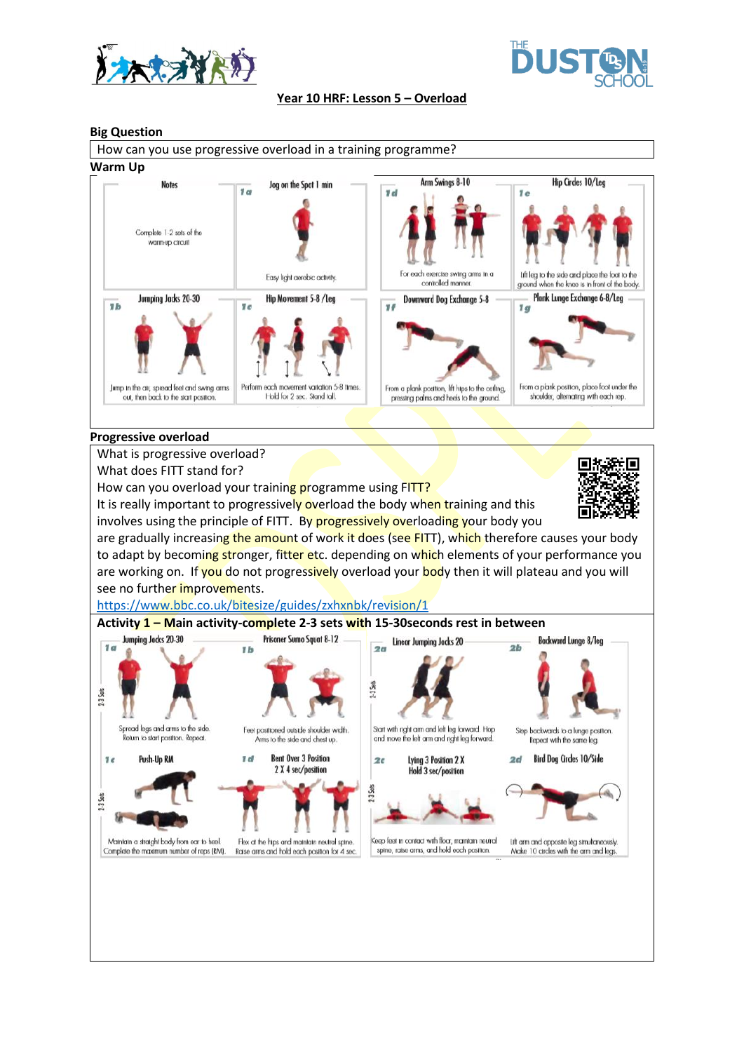



#### **Year 10 HRF: Lesson 5 – Overload**

### **Big Question**



#### **Progressive overload**

What is progressive overload?

What does FITT stand for?

How can you overload your training programme using FITT?

It is really important to progressively overload the body when training and this involves using the principle of FITT. By progressively overloading your body you



are gradually increasing the amount of work it does (see FITT), which therefore causes your body to adapt by becoming stronger, fitter etc. depending on which elements of your performance you are working on. If you do not progressively overload your body then it will plateau and you will see no further improvements.

<https://www.bbc.co.uk/bitesize/guides/zxhxnbk/revision/1>